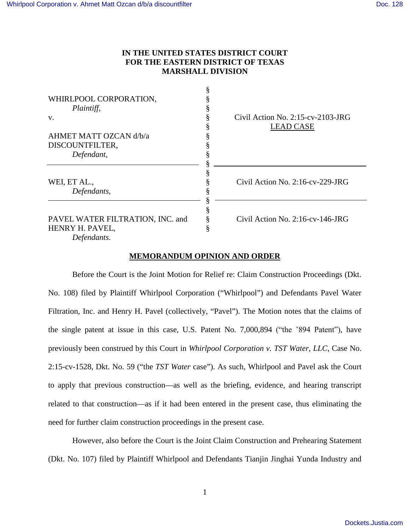# **IN THE UNITED STATES DISTRICT COURT FOR THE EASTERN DISTRICT OF TEXAS MARSHALL DIVISION**

| WHIRLPOOL CORPORATION,           |                                          |
|----------------------------------|------------------------------------------|
| Plaintiff,                       |                                          |
| v.                               | Civil Action No. $2:15$ -cv- $2103$ -JRG |
|                                  | <b>LEAD CASE</b>                         |
| AHMET MATT OZCAN d/b/a           |                                          |
| DISCOUNTFILTER,                  |                                          |
| Defendant,                       |                                          |
|                                  |                                          |
|                                  |                                          |
| WEI, ET AL.,                     | Civil Action No. $2:16$ -cv- $229$ -JRG  |
| Defendants,                      |                                          |
|                                  |                                          |
| PAVEL WATER FILTRATION, INC. and | $Civil$ Action No. 2:16-cv-146-JRG       |
| HENRY H. PAVEL,                  |                                          |
| Defendants.                      |                                          |

# **MEMORANDUM OPINION AND ORDER**

Before the Court is the Joint Motion for Relief re: Claim Construction Proceedings (Dkt. No. 108) filed by Plaintiff Whirlpool Corporation ("Whirlpool") and Defendants Pavel Water Filtration, Inc. and Henry H. Pavel (collectively, "Pavel"). The Motion notes that the claims of the single patent at issue in this case, U.S. Patent No. 7,000,894 ("the '894 Patent"), have previously been construed by this Court in *Whirlpool Corporation v. TST Water, LLC*, Case No. 2:15-cv-1528, Dkt. No. 59 ("the *TST Water* case"). As such, Whirlpool and Pavel ask the Court to apply that previous construction—as well as the briefing, evidence, and hearing transcript related to that construction—as if it had been entered in the present case, thus eliminating the need for further claim construction proceedings in the present case.

However, also before the Court is the Joint Claim Construction and Prehearing Statement (Dkt. No. 107) filed by Plaintiff Whirlpool and Defendants Tianjin Jinghai Yunda Industry and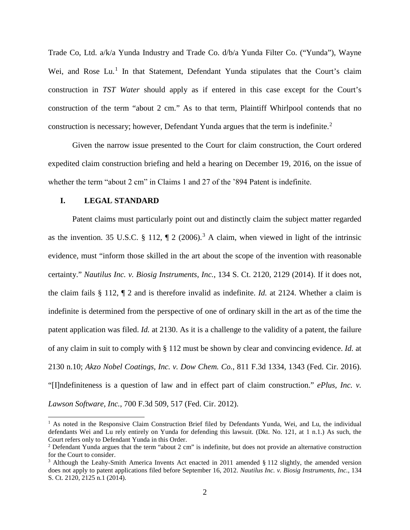Trade Co, Ltd. a/k/a Yunda Industry and Trade Co. d/b/a Yunda Filter Co. ("Yunda"), Wayne Wei, and Rose Lu.<sup>[1](#page-1-0)</sup> In that Statement, Defendant Yunda stipulates that the Court's claim construction in *TST Water* should apply as if entered in this case except for the Court's construction of the term "about 2 cm." As to that term, Plaintiff Whirlpool contends that no construction is necessary; however, Defendant Yunda argues that the term is indefinite.<sup>[2](#page-1-1)</sup>

Given the narrow issue presented to the Court for claim construction, the Court ordered expedited claim construction briefing and held a hearing on December 19, 2016, on the issue of whether the term "about 2 cm" in Claims 1 and 27 of the '894 Patent is indefinite.

### **I. LEGAL STANDARD**

-

Patent claims must particularly point out and distinctly claim the subject matter regarded as the invention. [3](#page-1-2)5 U.S.C. § 112,  $\P$  2 (2006).<sup>3</sup> A claim, when viewed in light of the intrinsic evidence, must "inform those skilled in the art about the scope of the invention with reasonable certainty." *Nautilus Inc. v. Biosig Instruments, Inc.*, 134 S. Ct. 2120, 2129 (2014). If it does not, the claim fails § 112, ¶ 2 and is therefore invalid as indefinite. *Id.* at 2124. Whether a claim is indefinite is determined from the perspective of one of ordinary skill in the art as of the time the patent application was filed. *Id.* at 2130. As it is a challenge to the validity of a patent, the failure of any claim in suit to comply with § 112 must be shown by clear and convincing evidence. *Id.* at 2130 n.10; *Akzo Nobel Coatings, Inc. v. Dow Chem. Co.*, 811 F.3d 1334, 1343 (Fed. Cir. 2016). "[I]ndefiniteness is a question of law and in effect part of claim construction." *ePlus, Inc. v. Lawson Software, Inc.*, 700 F.3d 509, 517 (Fed. Cir. 2012).

<span id="page-1-0"></span> $<sup>1</sup>$  As noted in the Responsive Claim Construction Brief filed by Defendants Yunda, Wei, and Lu, the individual</sup> defendants Wei and Lu rely entirely on Yunda for defending this lawsuit. (Dkt. No. 121, at 1 n.1.) As such, the Court refers only to Defendant Yunda in this Order.

<span id="page-1-1"></span><sup>&</sup>lt;sup>2</sup> Defendant Yunda argues that the term "about 2 cm" is indefinite, but does not provide an alternative construction for the Court to consider.

<span id="page-1-2"></span><sup>&</sup>lt;sup>3</sup> Although the Leahy-Smith America Invents Act enacted in 2011 amended § 112 slightly, the amended version does not apply to patent applications filed before September 16, 2012. *Nautilus Inc. v. Biosig Instruments, Inc.*, 134 S. Ct. 2120, 2125 n.1 (2014).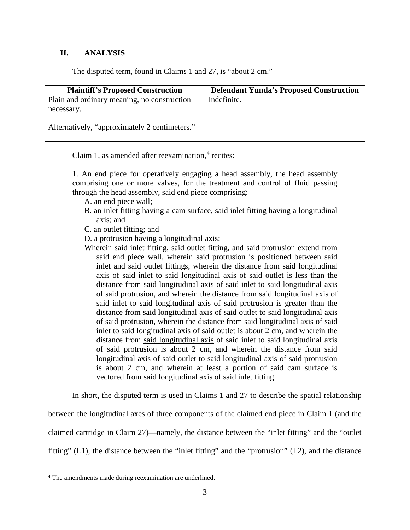## **II. ANALYSIS**

The disputed term, found in Claims 1 and 27, is "about 2 cm."

| <b>Plaintiff's Proposed Construction</b>      | <b>Defendant Yunda's Proposed Construction</b> |
|-----------------------------------------------|------------------------------------------------|
| Plain and ordinary meaning, no construction   | Indefinite.                                    |
| necessary.                                    |                                                |
| Alternatively, "approximately 2 centimeters." |                                                |

Claim 1, as amended after reexamination, $4$  recites:

1. An end piece for operatively engaging a head assembly, the head assembly comprising one or more valves, for the treatment and control of fluid passing through the head assembly, said end piece comprising:

- A. an end piece wall;
- B. an inlet fitting having a cam surface, said inlet fitting having a longitudinal axis; and
- C. an outlet fitting; and
- D. a protrusion having a longitudinal axis;
- Wherein said inlet fitting, said outlet fitting, and said protrusion extend from said end piece wall, wherein said protrusion is positioned between said inlet and said outlet fittings, wherein the distance from said longitudinal axis of said inlet to said longitudinal axis of said outlet is less than the distance from said longitudinal axis of said inlet to said longitudinal axis of said protrusion, and wherein the distance from said longitudinal axis of said inlet to said longitudinal axis of said protrusion is greater than the distance from said longitudinal axis of said outlet to said longitudinal axis of said protrusion, wherein the distance from said longitudinal axis of said inlet to said longitudinal axis of said outlet is about 2 cm, and wherein the distance from said longitudinal axis of said inlet to said longitudinal axis of said protrusion is about 2 cm, and wherein the distance from said longitudinal axis of said outlet to said longitudinal axis of said protrusion is about 2 cm, and wherein at least a portion of said cam surface is vectored from said longitudinal axis of said inlet fitting.

In short, the disputed term is used in Claims 1 and 27 to describe the spatial relationship

between the longitudinal axes of three components of the claimed end piece in Claim 1 (and the claimed cartridge in Claim 27)—namely, the distance between the "inlet fitting" and the "outlet fitting" (L1), the distance between the "inlet fitting" and the "protrusion" (L2), and the distance

 $\overline{a}$ 

<span id="page-2-0"></span><sup>4</sup> The amendments made during reexamination are underlined.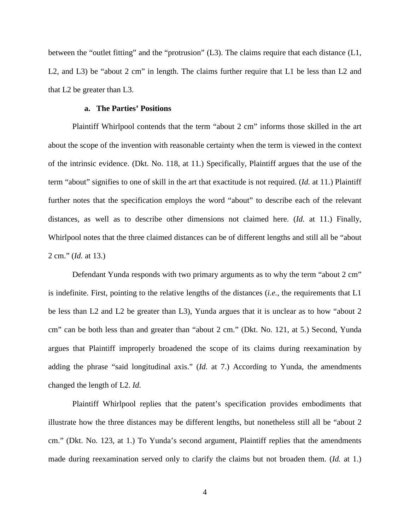between the "outlet fitting" and the "protrusion" (L3). The claims require that each distance (L1, L2, and L3) be "about 2 cm" in length. The claims further require that L1 be less than L2 and that L2 be greater than L3.

## **a. The Parties' Positions**

Plaintiff Whirlpool contends that the term "about 2 cm" informs those skilled in the art about the scope of the invention with reasonable certainty when the term is viewed in the context of the intrinsic evidence. (Dkt. No. 118, at 11.) Specifically, Plaintiff argues that the use of the term "about" signifies to one of skill in the art that exactitude is not required. (*Id.* at 11.) Plaintiff further notes that the specification employs the word "about" to describe each of the relevant distances, as well as to describe other dimensions not claimed here. (*Id.* at 11.) Finally, Whirlpool notes that the three claimed distances can be of different lengths and still all be "about 2 cm." (*Id.* at 13.)

Defendant Yunda responds with two primary arguments as to why the term "about 2 cm" is indefinite. First, pointing to the relative lengths of the distances (*i.e.*, the requirements that L1 be less than L2 and L2 be greater than L3), Yunda argues that it is unclear as to how "about 2 cm" can be both less than and greater than "about 2 cm." (Dkt. No. 121, at 5.) Second, Yunda argues that Plaintiff improperly broadened the scope of its claims during reexamination by adding the phrase "said longitudinal axis." (*Id.* at 7.) According to Yunda, the amendments changed the length of L2. *Id.*

Plaintiff Whirlpool replies that the patent's specification provides embodiments that illustrate how the three distances may be different lengths, but nonetheless still all be "about 2 cm." (Dkt. No. 123, at 1.) To Yunda's second argument, Plaintiff replies that the amendments made during reexamination served only to clarify the claims but not broaden them. (*Id.* at 1.)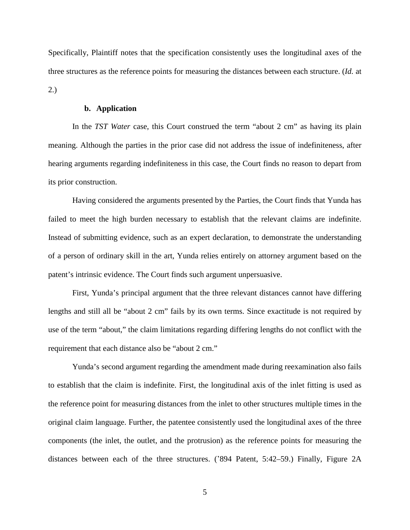Specifically, Plaintiff notes that the specification consistently uses the longitudinal axes of the three structures as the reference points for measuring the distances between each structure. (*Id.* at 2.)

## **b. Application**

In the *TST Water* case, this Court construed the term "about 2 cm" as having its plain meaning. Although the parties in the prior case did not address the issue of indefiniteness, after hearing arguments regarding indefiniteness in this case, the Court finds no reason to depart from its prior construction.

Having considered the arguments presented by the Parties, the Court finds that Yunda has failed to meet the high burden necessary to establish that the relevant claims are indefinite. Instead of submitting evidence, such as an expert declaration, to demonstrate the understanding of a person of ordinary skill in the art, Yunda relies entirely on attorney argument based on the patent's intrinsic evidence. The Court finds such argument unpersuasive.

First, Yunda's principal argument that the three relevant distances cannot have differing lengths and still all be "about 2 cm" fails by its own terms. Since exactitude is not required by use of the term "about," the claim limitations regarding differing lengths do not conflict with the requirement that each distance also be "about 2 cm."

 Yunda's second argument regarding the amendment made during reexamination also fails to establish that the claim is indefinite. First, the longitudinal axis of the inlet fitting is used as the reference point for measuring distances from the inlet to other structures multiple times in the original claim language. Further, the patentee consistently used the longitudinal axes of the three components (the inlet, the outlet, and the protrusion) as the reference points for measuring the distances between each of the three structures. ('894 Patent, 5:42–59.) Finally, Figure 2A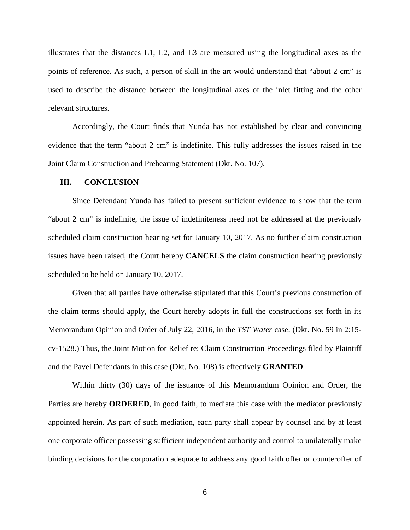illustrates that the distances L1, L2, and L3 are measured using the longitudinal axes as the points of reference. As such, a person of skill in the art would understand that "about 2 cm" is used to describe the distance between the longitudinal axes of the inlet fitting and the other relevant structures.

Accordingly, the Court finds that Yunda has not established by clear and convincing evidence that the term "about 2 cm" is indefinite. This fully addresses the issues raised in the Joint Claim Construction and Prehearing Statement (Dkt. No. 107).

### **III. CONCLUSION**

Since Defendant Yunda has failed to present sufficient evidence to show that the term "about 2 cm" is indefinite, the issue of indefiniteness need not be addressed at the previously scheduled claim construction hearing set for January 10, 2017. As no further claim construction issues have been raised, the Court hereby **CANCELS** the claim construction hearing previously scheduled to be held on January 10, 2017.

Given that all parties have otherwise stipulated that this Court's previous construction of the claim terms should apply, the Court hereby adopts in full the constructions set forth in its Memorandum Opinion and Order of July 22, 2016, in the *TST Water* case. (Dkt. No. 59 in 2:15 cv-1528.) Thus, the Joint Motion for Relief re: Claim Construction Proceedings filed by Plaintiff and the Pavel Defendants in this case (Dkt. No. 108) is effectively **GRANTED**.

Within thirty (30) days of the issuance of this Memorandum Opinion and Order, the Parties are hereby **ORDERED**, in good faith, to mediate this case with the mediator previously appointed herein. As part of such mediation, each party shall appear by counsel and by at least one corporate officer possessing sufficient independent authority and control to unilaterally make binding decisions for the corporation adequate to address any good faith offer or counteroffer of